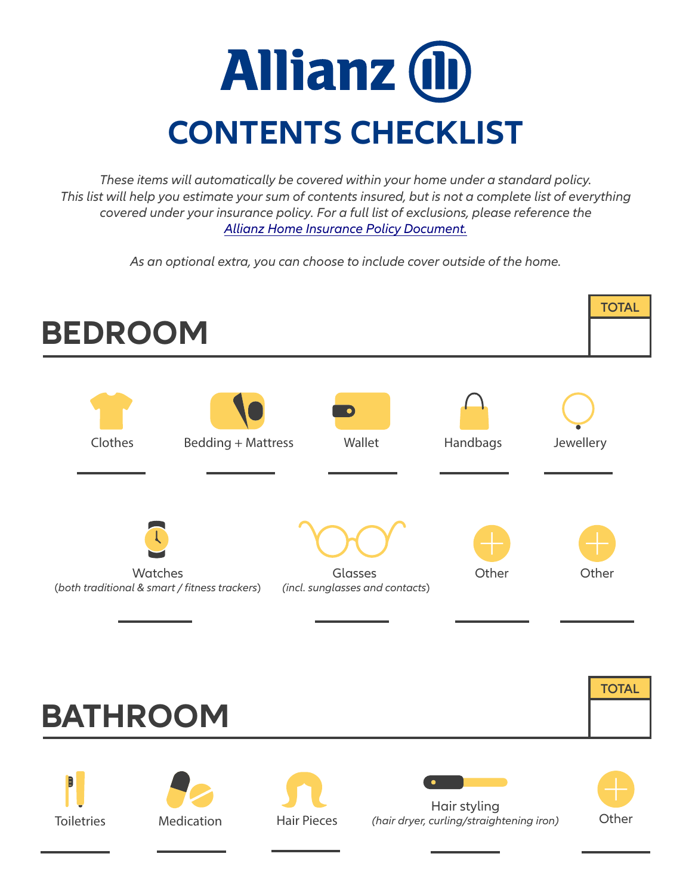## **Allianz (l) CONTENTS CHECKLIST**

*These items will automatically be covered within your home under a standard policy. This list will help you estimate your sum of contents insured, but is not a complete list of everything covered under your insurance policy. For a full list of exclusions, please reference the [Allianz Home Insurance Policy Document.](https://www.allianz.ie/home-insurance/cover_info/Household-Policy-Document-0714-.pdf)*

*As an optional extra, you can choose to include cover outside of the home.*

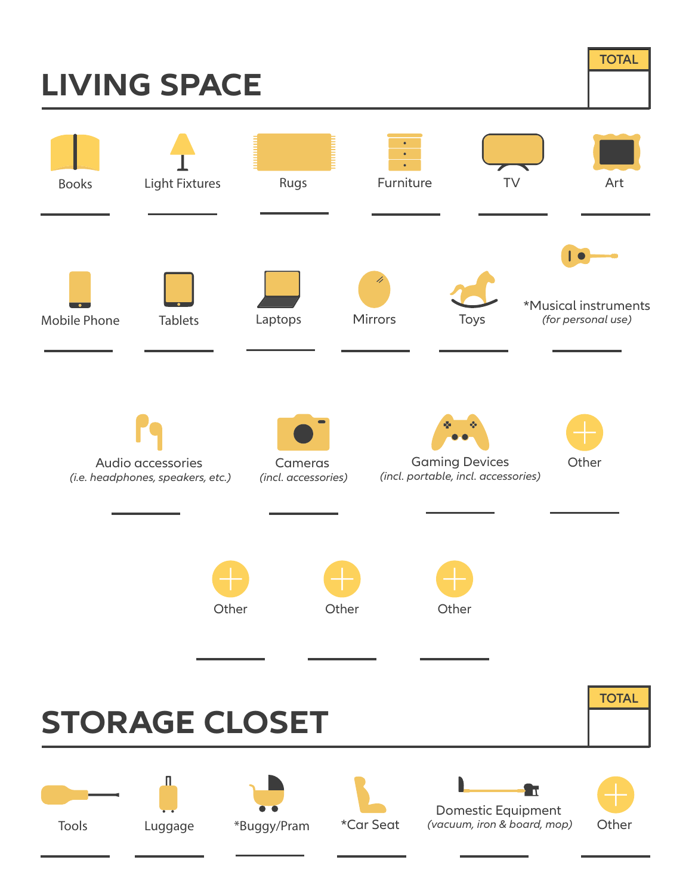## **LIVING SPACE**